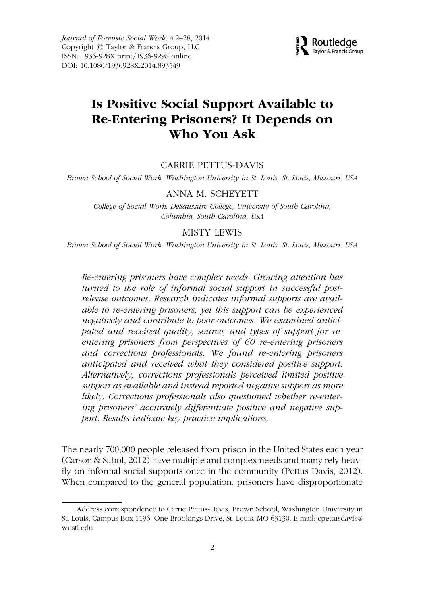Journal of Forensic Social Work, 4:2–28, 2014 Copyright  $\odot$  Taylor & Francis Group, LLC ISSN: 1936-928X print/1936-9298 online DOI: 10.1080/1936928X.2014.893549



# Is Positive Social Support Available to Re-Entering Prisoners? It Depends on Who You Ask

# CARRIE PETTUS-DAVIS

Brown School of Social Work, Washington University in St. Louis, St. Louis, Missouri, USA

#### ANNA M. SCHEYETT

College of Social Work, DeSaussure College, University of South Carolina, Columbia, South Carolina, USA

# MISTY LEWIS

Brown School of Social Work, Washington University in St. Louis, St. Louis, Missouri, USA

Re-entering prisoners have complex needs. Growing attention has turned to the role of informal social support in successful postrelease outcomes. Research indicates informal supports are available to re-entering prisoners, yet this support can be experienced negatively and contribute to poor outcomes. We examined anticipated and received quality, source, and types of support for reentering prisoners from perspectives of 60 re-entering prisoners and corrections professionals. We found re-entering prisoners anticipated and received what they considered positive support. Alternatively, corrections professionals perceived limited positive support as available and instead reported negative support as more likely. Corrections professionals also questioned whether re-entering prisoners' accurately differentiate positive and negative support. Results indicate key practice implications.

The nearly 700,000 people released from prison in the United States each year (Carson & Sabol, 2012) have multiple and complex needs and many rely heavily on informal social supports once in the community (Pettus Davis, 2012). When compared to the general population, prisoners have disproportionate

Address correspondence to Carrie Pettus-Davis, Brown School, Washington University in St. Louis, Campus Box 1196, One Brookings Drive, St. Louis, MO 63130. E-mail: cpettusdavis@ wustl.edu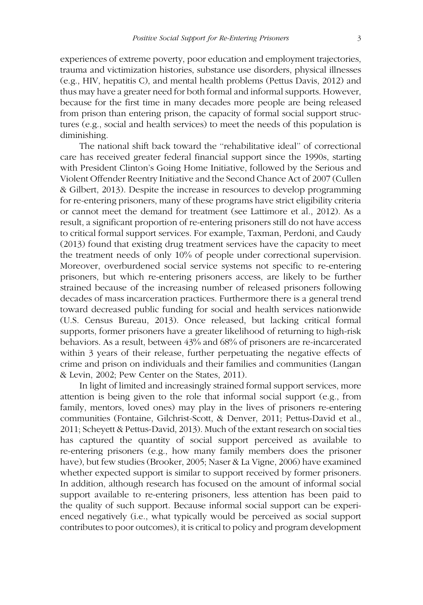experiences of extreme poverty, poor education and employment trajectories, trauma and victimization histories, substance use disorders, physical illnesses (e.g., HIV, hepatitis C), and mental health problems (Pettus Davis, 2012) and thus may have a greater need for both formal and informal supports. However, because for the first time in many decades more people are being released from prison than entering prison, the capacity of formal social support structures (e.g., social and health services) to meet the needs of this population is diminishing.

The national shift back toward the ''rehabilitative ideal'' of correctional care has received greater federal financial support since the 1990s, starting with President Clinton's Going Home Initiative, followed by the Serious and Violent Offender Reentry Initiative and the Second Chance Act of 2007 (Cullen & Gilbert, 2013). Despite the increase in resources to develop programming for re-entering prisoners, many of these programs have strict eligibility criteria or cannot meet the demand for treatment (see Lattimore et al., 2012). As a result, a significant proportion of re-entering prisoners still do not have access to critical formal support services. For example, Taxman, Perdoni, and Caudy (2013) found that existing drug treatment services have the capacity to meet the treatment needs of only 10% of people under correctional supervision. Moreover, overburdened social service systems not specific to re-entering prisoners, but which re-entering prisoners access, are likely to be further strained because of the increasing number of released prisoners following decades of mass incarceration practices. Furthermore there is a general trend toward decreased public funding for social and health services nationwide (U.S. Census Bureau, 2013). Once released, but lacking critical formal supports, former prisoners have a greater likelihood of returning to high-risk behaviors. As a result, between 43% and 68% of prisoners are re-incarcerated within 3 years of their release, further perpetuating the negative effects of crime and prison on individuals and their families and communities (Langan & Levin, 2002; Pew Center on the States, 2011).

In light of limited and increasingly strained formal support services, more attention is being given to the role that informal social support (e.g., from family, mentors, loved ones) may play in the lives of prisoners re-entering communities (Fontaine, Gilchrist-Scott, & Denver, 2011; Pettus-David et al., 2011; Scheyett & Pettus-David, 2013). Much of the extant research on social ties has captured the quantity of social support perceived as available to re-entering prisoners (e.g., how many family members does the prisoner have), but few studies (Brooker, 2005; Naser & La Vigne, 2006) have examined whether expected support is similar to support received by former prisoners. In addition, although research has focused on the amount of informal social support available to re-entering prisoners, less attention has been paid to the quality of such support. Because informal social support can be experienced negatively (i.e., what typically would be perceived as social support contributes to poor outcomes), it is critical to policy and program development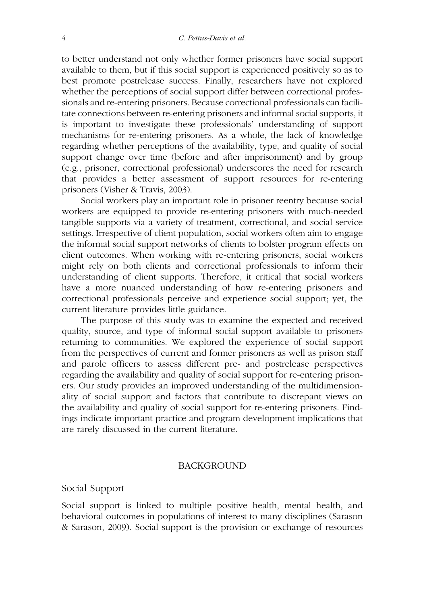to better understand not only whether former prisoners have social support available to them, but if this social support is experienced positively so as to best promote postrelease success. Finally, researchers have not explored whether the perceptions of social support differ between correctional professionals and re-entering prisoners. Because correctional professionals can facilitate connections between re-entering prisoners and informal social supports, it is important to investigate these professionals' understanding of support mechanisms for re-entering prisoners. As a whole, the lack of knowledge regarding whether perceptions of the availability, type, and quality of social support change over time (before and after imprisonment) and by group (e.g., prisoner, correctional professional) underscores the need for research that provides a better assessment of support resources for re-entering prisoners (Visher & Travis, 2003).

Social workers play an important role in prisoner reentry because social workers are equipped to provide re-entering prisoners with much-needed tangible supports via a variety of treatment, correctional, and social service settings. Irrespective of client population, social workers often aim to engage the informal social support networks of clients to bolster program effects on client outcomes. When working with re-entering prisoners, social workers might rely on both clients and correctional professionals to inform their understanding of client supports. Therefore, it critical that social workers have a more nuanced understanding of how re-entering prisoners and correctional professionals perceive and experience social support; yet, the current literature provides little guidance.

The purpose of this study was to examine the expected and received quality, source, and type of informal social support available to prisoners returning to communities. We explored the experience of social support from the perspectives of current and former prisoners as well as prison staff and parole officers to assess different pre- and postrelease perspectives regarding the availability and quality of social support for re-entering prisoners. Our study provides an improved understanding of the multidimensionality of social support and factors that contribute to discrepant views on the availability and quality of social support for re-entering prisoners. Findings indicate important practice and program development implications that are rarely discussed in the current literature.

### BACKGROUND

# Social Support

Social support is linked to multiple positive health, mental health, and behavioral outcomes in populations of interest to many disciplines (Sarason & Sarason, 2009). Social support is the provision or exchange of resources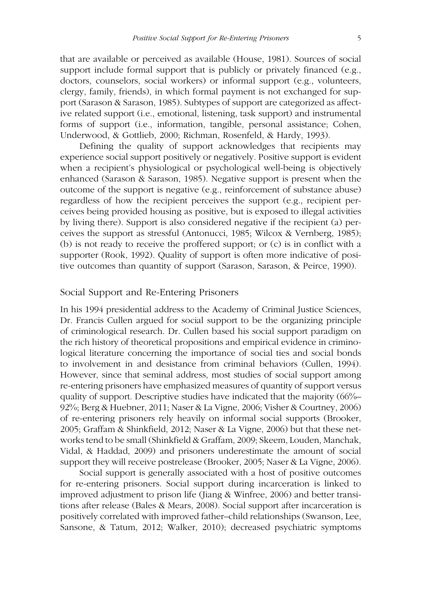that are available or perceived as available (House, 1981). Sources of social support include formal support that is publicly or privately financed (e.g., doctors, counselors, social workers) or informal support (e.g., volunteers, clergy, family, friends), in which formal payment is not exchanged for support (Sarason & Sarason, 1985). Subtypes of support are categorized as affective related support (i.e., emotional, listening, task support) and instrumental forms of support (i.e., information, tangible, personal assistance; Cohen, Underwood, & Gottlieb, 2000; Richman, Rosenfeld, & Hardy, 1993).

Defining the quality of support acknowledges that recipients may experience social support positively or negatively. Positive support is evident when a recipient's physiological or psychological well-being is objectively enhanced (Sarason & Sarason, 1985). Negative support is present when the outcome of the support is negative (e.g., reinforcement of substance abuse) regardless of how the recipient perceives the support (e.g., recipient perceives being provided housing as positive, but is exposed to illegal activities by living there). Support is also considered negative if the recipient (a) perceives the support as stressful (Antonucci, 1985; Wilcox & Vernberg, 1985); (b) is not ready to receive the proffered support; or (c) is in conflict with a supporter (Rook, 1992). Quality of support is often more indicative of positive outcomes than quantity of support (Sarason, Sarason, & Peirce, 1990).

# Social Support and Re-Entering Prisoners

In his 1994 presidential address to the Academy of Criminal Justice Sciences, Dr. Francis Cullen argued for social support to be the organizing principle of criminological research. Dr. Cullen based his social support paradigm on the rich history of theoretical propositions and empirical evidence in criminological literature concerning the importance of social ties and social bonds to involvement in and desistance from criminal behaviors (Cullen, 1994). However, since that seminal address, most studies of social support among re-entering prisoners have emphasized measures of quantity of support versus quality of support. Descriptive studies have indicated that the majority (66%– 92%; Berg & Huebner, 2011; Naser & La Vigne, 2006; Visher & Courtney, 2006) of re-entering prisoners rely heavily on informal social supports (Brooker, 2005; Graffam & Shinkfield, 2012; Naser & La Vigne, 2006) but that these networks tend to be small (Shinkfield & Graffam, 2009; Skeem, Louden, Manchak, Vidal, & Haddad, 2009) and prisoners underestimate the amount of social support they will receive postrelease (Brooker, 2005; Naser & La Vigne, 2006).

Social support is generally associated with a host of positive outcomes for re-entering prisoners. Social support during incarceration is linked to improved adjustment to prison life (Jiang & Winfree, 2006) and better transitions after release (Bales & Mears, 2008). Social support after incarceration is positively correlated with improved father–child relationships (Swanson, Lee, Sansone, & Tatum, 2012; Walker, 2010); decreased psychiatric symptoms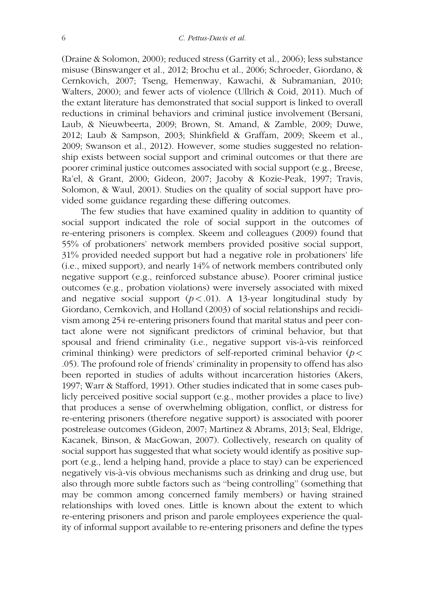(Draine & Solomon, 2000); reduced stress (Garrity et al., 2006); less substance misuse (Binswanger et al., 2012; Brochu et al., 2006; Schroeder, Giordano, & Cernkovich, 2007; Tseng, Hemenway, Kawachi, & Subramanian, 2010; Walters, 2000); and fewer acts of violence (Ullrich & Coid, 2011). Much of the extant literature has demonstrated that social support is linked to overall reductions in criminal behaviors and criminal justice involvement (Bersani, Laub, & Nieuwbeerta, 2009; Brown, St. Amand, & Zamble, 2009; Duwe, 2012; Laub & Sampson, 2003; Shinkfield & Graffam, 2009; Skeem et al., 2009; Swanson et al., 2012). However, some studies suggested no relationship exists between social support and criminal outcomes or that there are poorer criminal justice outcomes associated with social support (e.g., Breese, Ra'el, & Grant, 2000; Gideon, 2007; Jacoby & Kozie-Peak, 1997; Travis, Solomon, & Waul, 2001). Studies on the quality of social support have provided some guidance regarding these differing outcomes.

The few studies that have examined quality in addition to quantity of social support indicated the role of social support in the outcomes of re-entering prisoners is complex. Skeem and colleagues (2009) found that 55% of probationers' network members provided positive social support, 31% provided needed support but had a negative role in probationers' life (i.e., mixed support), and nearly 14% of network members contributed only negative support (e.g., reinforced substance abuse). Poorer criminal justice outcomes (e.g., probation violations) were inversely associated with mixed and negative social support  $(p < .01)$ . A 13-year longitudinal study by Giordano, Cernkovich, and Holland (2003) of social relationships and recidivism among 254 re-entering prisoners found that marital status and peer contact alone were not significant predictors of criminal behavior, but that spousal and friend criminality (i.e., negative support vis-à-vis reinforced criminal thinking) were predictors of self-reported criminal behavior ( $p <$ .05). The profound role of friends' criminality in propensity to offend has also been reported in studies of adults without incarceration histories (Akers, 1997; Warr & Stafford, 1991). Other studies indicated that in some cases publicly perceived positive social support (e.g., mother provides a place to live) that produces a sense of overwhelming obligation, conflict, or distress for re-entering prisoners (therefore negative support) is associated with poorer postrelease outcomes (Gideon, 2007; Martinez & Abrams, 2013; Seal, Eldrige, Kacanek, Binson, & MacGowan, 2007). Collectively, research on quality of social support has suggested that what society would identify as positive support (e.g., lend a helping hand, provide a place to stay) can be experienced negatively vis-a`-vis obvious mechanisms such as drinking and drug use, but also through more subtle factors such as ''being controlling'' (something that may be common among concerned family members) or having strained relationships with loved ones. Little is known about the extent to which re-entering prisoners and prison and parole employees experience the quality of informal support available to re-entering prisoners and define the types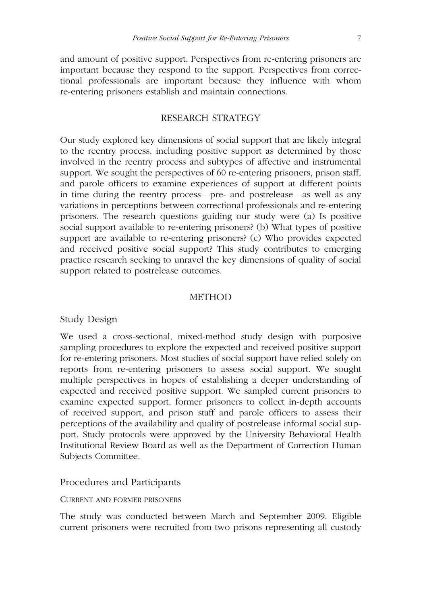and amount of positive support. Perspectives from re-entering prisoners are important because they respond to the support. Perspectives from correctional professionals are important because they influence with whom re-entering prisoners establish and maintain connections.

# RESEARCH STRATEGY

Our study explored key dimensions of social support that are likely integral to the reentry process, including positive support as determined by those involved in the reentry process and subtypes of affective and instrumental support. We sought the perspectives of 60 re-entering prisoners, prison staff, and parole officers to examine experiences of support at different points in time during the reentry process—pre- and postrelease—as well as any variations in perceptions between correctional professionals and re-entering prisoners. The research questions guiding our study were (a) Is positive social support available to re-entering prisoners? (b) What types of positive support are available to re-entering prisoners? (c) Who provides expected and received positive social support? This study contributes to emerging practice research seeking to unravel the key dimensions of quality of social support related to postrelease outcomes.

# **METHOD**

Study Design

We used a cross-sectional, mixed-method study design with purposive sampling procedures to explore the expected and received positive support for re-entering prisoners. Most studies of social support have relied solely on reports from re-entering prisoners to assess social support. We sought multiple perspectives in hopes of establishing a deeper understanding of expected and received positive support. We sampled current prisoners to examine expected support, former prisoners to collect in-depth accounts of received support, and prison staff and parole officers to assess their perceptions of the availability and quality of postrelease informal social support. Study protocols were approved by the University Behavioral Health Institutional Review Board as well as the Department of Correction Human Subjects Committee.

#### Procedures and Participants

#### CURRENT AND FORMER PRISONERS

The study was conducted between March and September 2009. Eligible current prisoners were recruited from two prisons representing all custody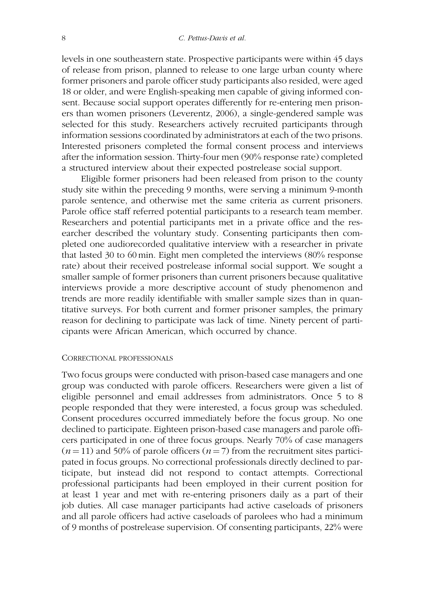levels in one southeastern state. Prospective participants were within 45 days of release from prison, planned to release to one large urban county where former prisoners and parole officer study participants also resided, were aged 18 or older, and were English-speaking men capable of giving informed consent. Because social support operates differently for re-entering men prisoners than women prisoners (Leverentz, 2006), a single-gendered sample was selected for this study. Researchers actively recruited participants through information sessions coordinated by administrators at each of the two prisons. Interested prisoners completed the formal consent process and interviews after the information session. Thirty-four men (90% response rate) completed a structured interview about their expected postrelease social support.

Eligible former prisoners had been released from prison to the county study site within the preceding 9 months, were serving a minimum 9-month parole sentence, and otherwise met the same criteria as current prisoners. Parole office staff referred potential participants to a research team member. Researchers and potential participants met in a private office and the researcher described the voluntary study. Consenting participants then completed one audiorecorded qualitative interview with a researcher in private that lasted 30 to 60 min. Eight men completed the interviews (80% response rate) about their received postrelease informal social support. We sought a smaller sample of former prisoners than current prisoners because qualitative interviews provide a more descriptive account of study phenomenon and trends are more readily identifiable with smaller sample sizes than in quantitative surveys. For both current and former prisoner samples, the primary reason for declining to participate was lack of time. Ninety percent of participants were African American, which occurred by chance.

#### CORRECTIONAL PROFESSIONALS

Two focus groups were conducted with prison-based case managers and one group was conducted with parole officers. Researchers were given a list of eligible personnel and email addresses from administrators. Once 5 to 8 people responded that they were interested, a focus group was scheduled. Consent procedures occurred immediately before the focus group. No one declined to participate. Eighteen prison-based case managers and parole officers participated in one of three focus groups. Nearly 70% of case managers  $(n = 11)$  and 50% of parole officers  $(n = 7)$  from the recruitment sites participated in focus groups. No correctional professionals directly declined to participate, but instead did not respond to contact attempts. Correctional professional participants had been employed in their current position for at least 1 year and met with re-entering prisoners daily as a part of their job duties. All case manager participants had active caseloads of prisoners and all parole officers had active caseloads of parolees who had a minimum of 9 months of postrelease supervision. Of consenting participants, 22% were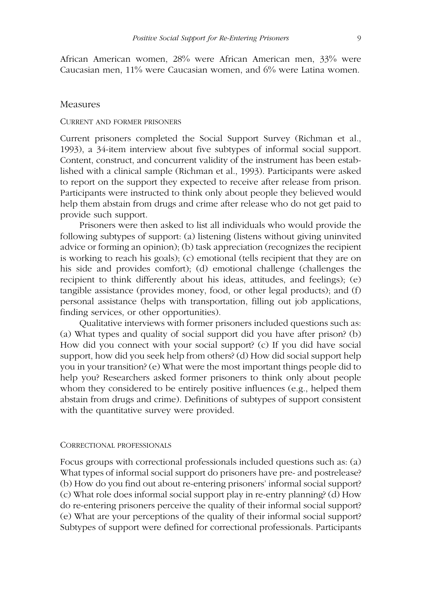African American women, 28% were African American men, 33% were Caucasian men, 11% were Caucasian women, and 6% were Latina women.

#### Measures

#### CURRENT AND FORMER PRISONERS

Current prisoners completed the Social Support Survey (Richman et al., 1993), a 34-item interview about five subtypes of informal social support. Content, construct, and concurrent validity of the instrument has been established with a clinical sample (Richman et al., 1993). Participants were asked to report on the support they expected to receive after release from prison. Participants were instructed to think only about people they believed would help them abstain from drugs and crime after release who do not get paid to provide such support.

Prisoners were then asked to list all individuals who would provide the following subtypes of support: (a) listening (listens without giving uninvited advice or forming an opinion); (b) task appreciation (recognizes the recipient is working to reach his goals); (c) emotional (tells recipient that they are on his side and provides comfort); (d) emotional challenge (challenges the recipient to think differently about his ideas, attitudes, and feelings); (e) tangible assistance (provides money, food, or other legal products); and (f) personal assistance (helps with transportation, filling out job applications, finding services, or other opportunities).

Qualitative interviews with former prisoners included questions such as: (a) What types and quality of social support did you have after prison? (b) How did you connect with your social support? (c) If you did have social support, how did you seek help from others? (d) How did social support help you in your transition? (e) What were the most important things people did to help you? Researchers asked former prisoners to think only about people whom they considered to be entirely positive influences (e.g., helped them abstain from drugs and crime). Definitions of subtypes of support consistent with the quantitative survey were provided.

#### CORRECTIONAL PROFESSIONALS

Focus groups with correctional professionals included questions such as: (a) What types of informal social support do prisoners have pre- and postrelease? (b) How do you find out about re-entering prisoners' informal social support? (c) What role does informal social support play in re-entry planning? (d) How do re-entering prisoners perceive the quality of their informal social support? (e) What are your perceptions of the quality of their informal social support? Subtypes of support were defined for correctional professionals. Participants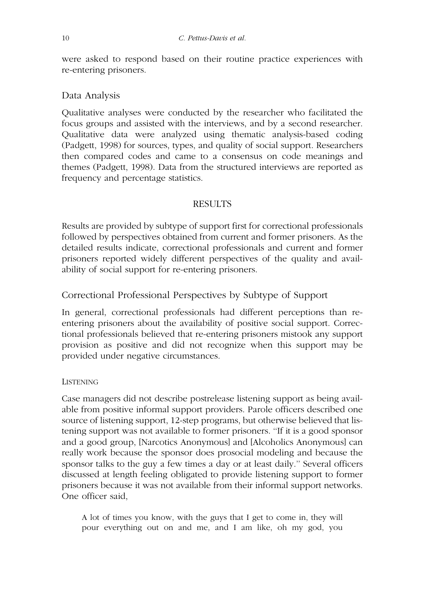were asked to respond based on their routine practice experiences with re-entering prisoners.

# Data Analysis

Qualitative analyses were conducted by the researcher who facilitated the focus groups and assisted with the interviews, and by a second researcher. Qualitative data were analyzed using thematic analysis-based coding (Padgett, 1998) for sources, types, and quality of social support. Researchers then compared codes and came to a consensus on code meanings and themes (Padgett, 1998). Data from the structured interviews are reported as frequency and percentage statistics.

# **RESULTS**

Results are provided by subtype of support first for correctional professionals followed by perspectives obtained from current and former prisoners. As the detailed results indicate, correctional professionals and current and former prisoners reported widely different perspectives of the quality and availability of social support for re-entering prisoners.

# Correctional Professional Perspectives by Subtype of Support

In general, correctional professionals had different perceptions than reentering prisoners about the availability of positive social support. Correctional professionals believed that re-entering prisoners mistook any support provision as positive and did not recognize when this support may be provided under negative circumstances.

# **LISTENING**

Case managers did not describe postrelease listening support as being available from positive informal support providers. Parole officers described one source of listening support, 12-step programs, but otherwise believed that listening support was not available to former prisoners. ''If it is a good sponsor and a good group, [Narcotics Anonymous] and [Alcoholics Anonymous] can really work because the sponsor does prosocial modeling and because the sponsor talks to the guy a few times a day or at least daily.'' Several officers discussed at length feeling obligated to provide listening support to former prisoners because it was not available from their informal support networks. One officer said,

A lot of times you know, with the guys that I get to come in, they will pour everything out on and me, and I am like, oh my god, you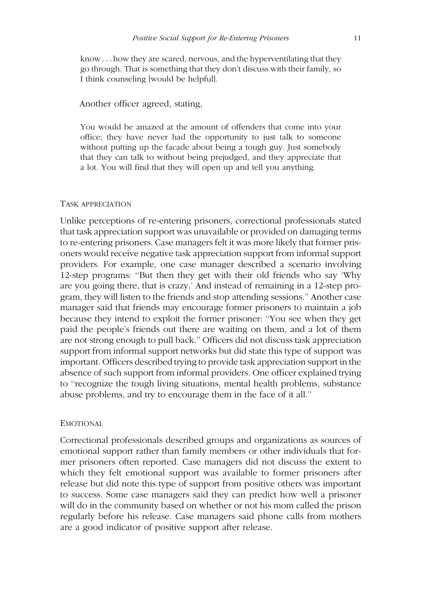know ... how they are scared, nervous, and the hyperventilating that they go through. That is something that they don't discuss with their family, so I think counseling [would be helpful].

## Another officer agreed, stating,

You would be amazed at the amount of offenders that come into your office; they have never had the opportunity to just talk to someone without putting up the facade about being a tough guy. Just somebody that they can talk to without being prejudged, and they appreciate that a lot. You will find that they will open up and tell you anything.

#### TASK APPRECIATION

Unlike perceptions of re-entering prisoners, correctional professionals stated that task appreciation support was unavailable or provided on damaging terms to re-entering prisoners. Case managers felt it was more likely that former prisoners would receive negative task appreciation support from informal support providers. For example, one case manager described a scenario involving 12-step programs: ''But then they get with their old friends who say 'Why are you going there, that is crazy.' And instead of remaining in a 12-step program, they will listen to the friends and stop attending sessions.'' Another case manager said that friends may encourage former prisoners to maintain a job because they intend to exploit the former prisoner: ''You see when they get paid the people's friends out there are waiting on them, and a lot of them are not strong enough to pull back.'' Officers did not discuss task appreciation support from informal support networks but did state this type of support was important. Officers described trying to provide task appreciation support in the absence of such support from informal providers. One officer explained trying to ''recognize the tough living situations, mental health problems, substance abuse problems, and try to encourage them in the face of it all.''

#### EMOTIONAL

Correctional professionals described groups and organizations as sources of emotional support rather than family members or other individuals that former prisoners often reported. Case managers did not discuss the extent to which they felt emotional support was available to former prisoners after release but did note this type of support from positive others was important to success. Some case managers said they can predict how well a prisoner will do in the community based on whether or not his mom called the prison regularly before his release. Case managers said phone calls from mothers are a good indicator of positive support after release.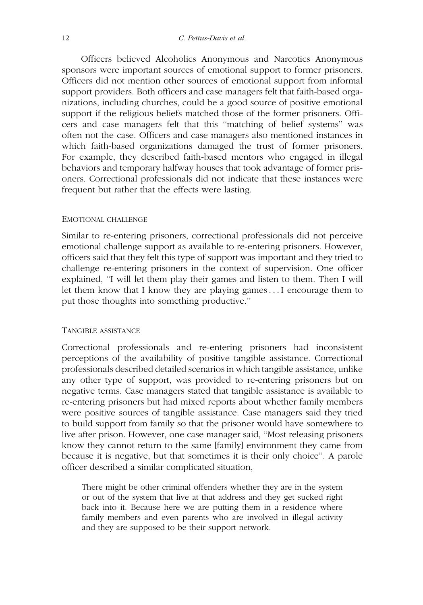Officers believed Alcoholics Anonymous and Narcotics Anonymous sponsors were important sources of emotional support to former prisoners. Officers did not mention other sources of emotional support from informal support providers. Both officers and case managers felt that faith-based organizations, including churches, could be a good source of positive emotional support if the religious beliefs matched those of the former prisoners. Officers and case managers felt that this ''matching of belief systems'' was often not the case. Officers and case managers also mentioned instances in which faith-based organizations damaged the trust of former prisoners. For example, they described faith-based mentors who engaged in illegal behaviors and temporary halfway houses that took advantage of former prisoners. Correctional professionals did not indicate that these instances were frequent but rather that the effects were lasting.

#### EMOTIONAL CHALLENGE

Similar to re-entering prisoners, correctional professionals did not perceive emotional challenge support as available to re-entering prisoners. However, officers said that they felt this type of support was important and they tried to challenge re-entering prisoners in the context of supervision. One officer explained, ''I will let them play their games and listen to them. Then I will let them know that I know they are playing games... I encourage them to put those thoughts into something productive.''

#### TANGIBLE ASSISTANCE

Correctional professionals and re-entering prisoners had inconsistent perceptions of the availability of positive tangible assistance. Correctional professionals described detailed scenarios in which tangible assistance, unlike any other type of support, was provided to re-entering prisoners but on negative terms. Case managers stated that tangible assistance is available to re-entering prisoners but had mixed reports about whether family members were positive sources of tangible assistance. Case managers said they tried to build support from family so that the prisoner would have somewhere to live after prison. However, one case manager said, ''Most releasing prisoners know they cannot return to the same [family] environment they came from because it is negative, but that sometimes it is their only choice''. A parole officer described a similar complicated situation,

There might be other criminal offenders whether they are in the system or out of the system that live at that address and they get sucked right back into it. Because here we are putting them in a residence where family members and even parents who are involved in illegal activity and they are supposed to be their support network.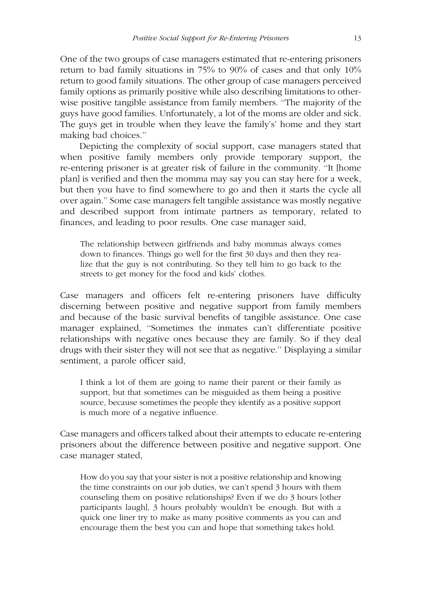One of the two groups of case managers estimated that re-entering prisoners return to bad family situations in 75% to 90% of cases and that only 10% return to good family situations. The other group of case managers perceived family options as primarily positive while also describing limitations to otherwise positive tangible assistance from family members. ''The majority of the guys have good families. Unfortunately, a lot of the moms are older and sick. The guys get in trouble when they leave the family's' home and they start making bad choices.''

Depicting the complexity of social support, case managers stated that when positive family members only provide temporary support, the re-entering prisoner is at greater risk of failure in the community. ''It [home plan] is verified and then the momma may say you can stay here for a week, but then you have to find somewhere to go and then it starts the cycle all over again.'' Some case managers felt tangible assistance was mostly negative and described support from intimate partners as temporary, related to finances, and leading to poor results. One case manager said,

The relationship between girlfriends and baby mommas always comes down to finances. Things go well for the first 30 days and then they realize that the guy is not contributing. So they tell him to go back to the streets to get money for the food and kids' clothes.

Case managers and officers felt re-entering prisoners have difficulty discerning between positive and negative support from family members and because of the basic survival benefits of tangible assistance. One case manager explained, ''Sometimes the inmates can't differentiate positive relationships with negative ones because they are family. So if they deal drugs with their sister they will not see that as negative.'' Displaying a similar sentiment, a parole officer said,

I think a lot of them are going to name their parent or their family as support, but that sometimes can be misguided as them being a positive source, because sometimes the people they identify as a positive support is much more of a negative influence.

Case managers and officers talked about their attempts to educate re-entering prisoners about the difference between positive and negative support. One case manager stated,

How do you say that your sister is not a positive relationship and knowing the time constraints on our job duties, we can't spend 3 hours with them counseling them on positive relationships? Even if we do 3 hours [other participants laugh], 3 hours probably wouldn't be enough. But with a quick one liner try to make as many positive comments as you can and encourage them the best you can and hope that something takes hold.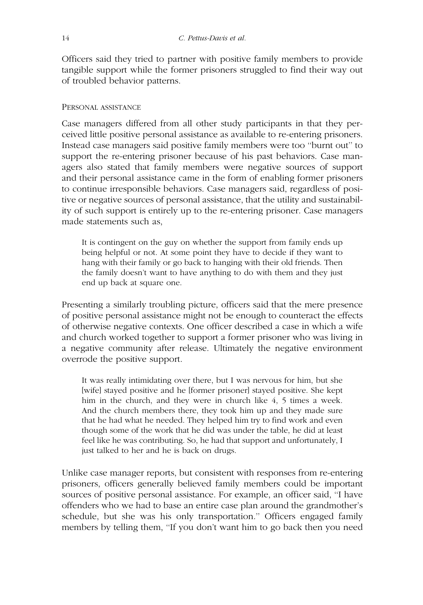Officers said they tried to partner with positive family members to provide tangible support while the former prisoners struggled to find their way out of troubled behavior patterns.

# PERSONAL ASSISTANCE

Case managers differed from all other study participants in that they perceived little positive personal assistance as available to re-entering prisoners. Instead case managers said positive family members were too ''burnt out'' to support the re-entering prisoner because of his past behaviors. Case managers also stated that family members were negative sources of support and their personal assistance came in the form of enabling former prisoners to continue irresponsible behaviors. Case managers said, regardless of positive or negative sources of personal assistance, that the utility and sustainability of such support is entirely up to the re-entering prisoner. Case managers made statements such as,

It is contingent on the guy on whether the support from family ends up being helpful or not. At some point they have to decide if they want to hang with their family or go back to hanging with their old friends. Then the family doesn't want to have anything to do with them and they just end up back at square one.

Presenting a similarly troubling picture, officers said that the mere presence of positive personal assistance might not be enough to counteract the effects of otherwise negative contexts. One officer described a case in which a wife and church worked together to support a former prisoner who was living in a negative community after release. Ultimately the negative environment overrode the positive support.

It was really intimidating over there, but I was nervous for him, but she [wife] stayed positive and he [former prisoner] stayed positive. She kept him in the church, and they were in church like 4, 5 times a week. And the church members there, they took him up and they made sure that he had what he needed. They helped him try to find work and even though some of the work that he did was under the table, he did at least feel like he was contributing. So, he had that support and unfortunately, I just talked to her and he is back on drugs.

Unlike case manager reports, but consistent with responses from re-entering prisoners, officers generally believed family members could be important sources of positive personal assistance. For example, an officer said, ''I have offenders who we had to base an entire case plan around the grandmother's schedule, but she was his only transportation.'' Officers engaged family members by telling them, ''If you don't want him to go back then you need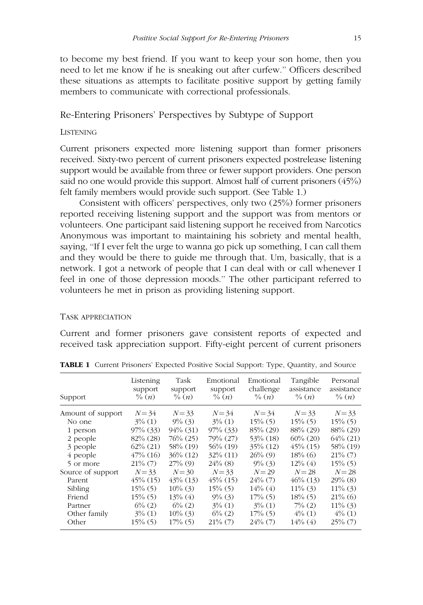to become my best friend. If you want to keep your son home, then you need to let me know if he is sneaking out after curfew.'' Officers described these situations as attempts to facilitate positive support by getting family members to communicate with correctional professionals.

# Re-Entering Prisoners' Perspectives by Subtype of Support

### LISTENING

Current prisoners expected more listening support than former prisoners received. Sixty-two percent of current prisoners expected postrelease listening support would be available from three or fewer support providers. One person said no one would provide this support. Almost half of current prisoners (45%) felt family members would provide such support. (See Table 1.)

Consistent with officers' perspectives, only two (25%) former prisoners reported receiving listening support and the support was from mentors or volunteers. One participant said listening support he received from Narcotics Anonymous was important to maintaining his sobriety and mental health, saying, ''If I ever felt the urge to wanna go pick up something, I can call them and they would be there to guide me through that. Um, basically, that is a network. I got a network of people that I can deal with or call whenever I feel in one of those depression moods.'' The other participant referred to volunteers he met in prison as providing listening support.

#### TASK APPRECIATION

Current and former prisoners gave consistent reports of expected and received task appreciation support. Fifty-eight percent of current prisoners

| Support           | Listening<br>support<br>$\% (n)$ | Task<br>support<br>$\%$ $(n)$ | Emotional<br>support<br>$\% (n)$ | Emotional<br>challenge<br>$\% (n)$ | Tangible<br>assistance<br>$\frac{0}{0}$ ( <i>n</i> ) | Personal<br>assistance<br>$\% (n)$ |
|-------------------|----------------------------------|-------------------------------|----------------------------------|------------------------------------|------------------------------------------------------|------------------------------------|
| Amount of support | $N = 34$                         | $N = 33$                      | $N = 34$                         | $N = 34$                           | $N = 33$                                             | $N = 33$                           |
| No one            | $3\%$ (1)                        | $9\%$ (3)                     | $3\%$ (1)                        | $15\%$ (5)                         | $15\%$ (5)                                           | $15\%$ (5)                         |
| 1 person          | $97\%$ (33)                      | $94\%$ (31)                   | $97\%$ (33)                      | $85\%$ (29)                        | 88\% (29)                                            | 88\% (29)                          |
| 2 people          | $82\%$ (28)                      | 76\% (25)                     | 79% (27)                         | $53\%$ (18)                        | $60\%$ (20)                                          | $64\%$ (21)                        |
| 3 people          | $62\%$ (21)                      | $58\%$ (19)                   | $56\%$ (19)                      | $35\%$ (12)                        | $45\%$ (15)                                          | 58\% (19)                          |
| 4 people          | $47\%$ (16)                      | $36\%$ (12)                   | $32\%$ (11)                      | $26\%$ (9)                         | $18\%$ (6)                                           | $21\%$ (7)                         |
| 5 or more         | $21\%$ (7)                       | $27\%$ (9)                    | $24\%$ (8)                       | $9\%$ (3)                          | $12\%$ (4)                                           | $15\%$ (5)                         |
| Source of support | $N = 33$                         | $N = 30$                      | $N = 33$                         | $N = 29$                           | $N=28$                                               | $N=28$                             |
| Parent            | $45\%$ (15)                      | $43\%$ (13)                   | $45\%$ (15)                      | $24\%$ (7)                         | $46\%$ (13)                                          | $29\%$ (8)                         |
| Sibling           | $15\%$ (5)                       | $10\%$ (3)                    | $15\%$ (5)                       | $14\%$ (4)                         | $11\%$ (3)                                           | $11\%$ (3)                         |
| Friend            | $15\%$ (5)                       | $13\%$ (4)                    | $9\%$ (3)                        | $17\%$ (5)                         | $18\%$ (5)                                           | $21\%$ (6)                         |
| Partner           | $6\%$ (2)                        | $6\%$ (2)                     | $3\%$ (1)                        | $3\%$ (1)                          | $7\%$ (2)                                            | $11\%$ (3)                         |
| Other family      | $3\%$ (1)                        | $10\%$ (3)                    | $6\%$ (2)                        | $17\%$ (5)                         | $4\%$ (1)                                            | $4\%$ (1)                          |
| Other             | $15\%$ (5)                       | $17\%$ (5)                    | $21\%$ (7)                       | $24\%$ (7)                         | $14\%$ (4)                                           | $25\%$ (7)                         |

TABLE 1 Current Prisoners' Expected Positive Social Support: Type, Quantity, and Source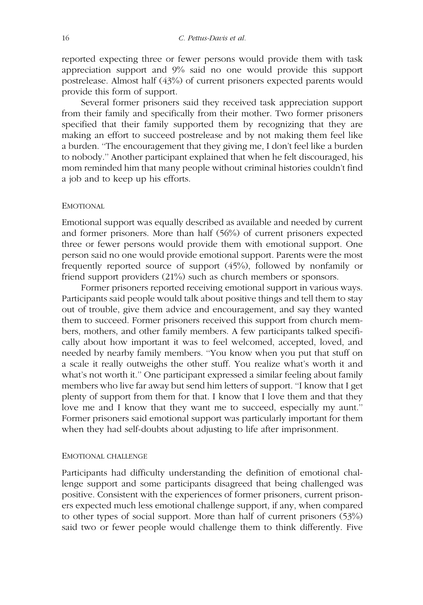reported expecting three or fewer persons would provide them with task appreciation support and 9% said no one would provide this support postrelease. Almost half (43%) of current prisoners expected parents would provide this form of support.

Several former prisoners said they received task appreciation support from their family and specifically from their mother. Two former prisoners specified that their family supported them by recognizing that they are making an effort to succeed postrelease and by not making them feel like a burden. ''The encouragement that they giving me, I don't feel like a burden to nobody.'' Another participant explained that when he felt discouraged, his mom reminded him that many people without criminal histories couldn't find a job and to keep up his efforts.

#### EMOTIONAL

Emotional support was equally described as available and needed by current and former prisoners. More than half (56%) of current prisoners expected three or fewer persons would provide them with emotional support. One person said no one would provide emotional support. Parents were the most frequently reported source of support (45%), followed by nonfamily or friend support providers (21%) such as church members or sponsors.

Former prisoners reported receiving emotional support in various ways. Participants said people would talk about positive things and tell them to stay out of trouble, give them advice and encouragement, and say they wanted them to succeed. Former prisoners received this support from church members, mothers, and other family members. A few participants talked specifically about how important it was to feel welcomed, accepted, loved, and needed by nearby family members. ''You know when you put that stuff on a scale it really outweighs the other stuff. You realize what's worth it and what's not worth it.'' One participant expressed a similar feeling about family members who live far away but send him letters of support. ''I know that I get plenty of support from them for that. I know that I love them and that they love me and I know that they want me to succeed, especially my aunt.'' Former prisoners said emotional support was particularly important for them when they had self-doubts about adjusting to life after imprisonment.

#### EMOTIONAL CHALLENGE

Participants had difficulty understanding the definition of emotional challenge support and some participants disagreed that being challenged was positive. Consistent with the experiences of former prisoners, current prisoners expected much less emotional challenge support, if any, when compared to other types of social support. More than half of current prisoners (53%) said two or fewer people would challenge them to think differently. Five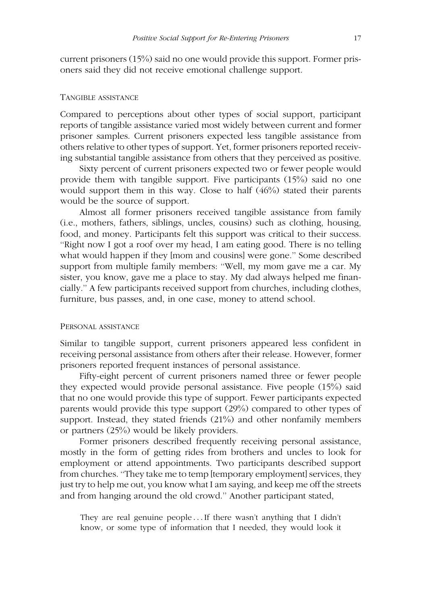current prisoners (15%) said no one would provide this support. Former prisoners said they did not receive emotional challenge support.

## TANGIBLE ASSISTANCE

Compared to perceptions about other types of social support, participant reports of tangible assistance varied most widely between current and former prisoner samples. Current prisoners expected less tangible assistance from others relative to other types of support. Yet, former prisoners reported receiving substantial tangible assistance from others that they perceived as positive.

Sixty percent of current prisoners expected two or fewer people would provide them with tangible support. Five participants (15%) said no one would support them in this way. Close to half (46%) stated their parents would be the source of support.

Almost all former prisoners received tangible assistance from family (i.e., mothers, fathers, siblings, uncles, cousins) such as clothing, housing, food, and money. Participants felt this support was critical to their success. ''Right now I got a roof over my head, I am eating good. There is no telling what would happen if they [mom and cousins] were gone.'' Some described support from multiple family members: ''Well, my mom gave me a car. My sister, you know, gave me a place to stay. My dad always helped me financially.'' A few participants received support from churches, including clothes, furniture, bus passes, and, in one case, money to attend school.

#### PERSONAL ASSISTANCE

Similar to tangible support, current prisoners appeared less confident in receiving personal assistance from others after their release. However, former prisoners reported frequent instances of personal assistance.

Fifty-eight percent of current prisoners named three or fewer people they expected would provide personal assistance. Five people (15%) said that no one would provide this type of support. Fewer participants expected parents would provide this type support (29%) compared to other types of support. Instead, they stated friends (21%) and other nonfamily members or partners (25%) would be likely providers.

Former prisoners described frequently receiving personal assistance, mostly in the form of getting rides from brothers and uncles to look for employment or attend appointments. Two participants described support from churches. ''They take me to temp [temporary employment] services, they just try to help me out, you know what I am saying, and keep me off the streets and from hanging around the old crowd.'' Another participant stated,

They are real genuine people ... If there wasn't anything that I didn't know, or some type of information that I needed, they would look it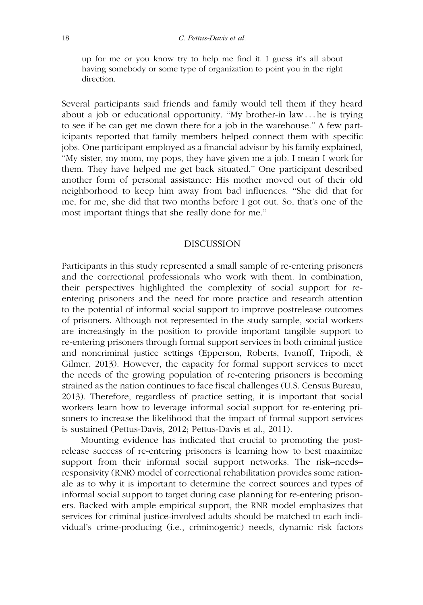up for me or you know try to help me find it. I guess it's all about having somebody or some type of organization to point you in the right direction.

Several participants said friends and family would tell them if they heard about a job or educational opportunity. ''My brother-in law ... he is trying to see if he can get me down there for a job in the warehouse.'' A few participants reported that family members helped connect them with specific jobs. One participant employed as a financial advisor by his family explained, ''My sister, my mom, my pops, they have given me a job. I mean I work for them. They have helped me get back situated.'' One participant described another form of personal assistance: His mother moved out of their old neighborhood to keep him away from bad influences. ''She did that for me, for me, she did that two months before I got out. So, that's one of the most important things that she really done for me.''

# DISCUSSION

Participants in this study represented a small sample of re-entering prisoners and the correctional professionals who work with them. In combination, their perspectives highlighted the complexity of social support for reentering prisoners and the need for more practice and research attention to the potential of informal social support to improve postrelease outcomes of prisoners. Although not represented in the study sample, social workers are increasingly in the position to provide important tangible support to re-entering prisoners through formal support services in both criminal justice and noncriminal justice settings (Epperson, Roberts, Ivanoff, Tripodi, & Gilmer, 2013). However, the capacity for formal support services to meet the needs of the growing population of re-entering prisoners is becoming strained as the nation continues to face fiscal challenges (U.S. Census Bureau, 2013). Therefore, regardless of practice setting, it is important that social workers learn how to leverage informal social support for re-entering prisoners to increase the likelihood that the impact of formal support services is sustained (Pettus-Davis, 2012; Pettus-Davis et al., 2011).

Mounting evidence has indicated that crucial to promoting the postrelease success of re-entering prisoners is learning how to best maximize support from their informal social support networks. The risk–needs– responsivity (RNR) model of correctional rehabilitation provides some rationale as to why it is important to determine the correct sources and types of informal social support to target during case planning for re-entering prisoners. Backed with ample empirical support, the RNR model emphasizes that services for criminal justice-involved adults should be matched to each individual's crime-producing (i.e., criminogenic) needs, dynamic risk factors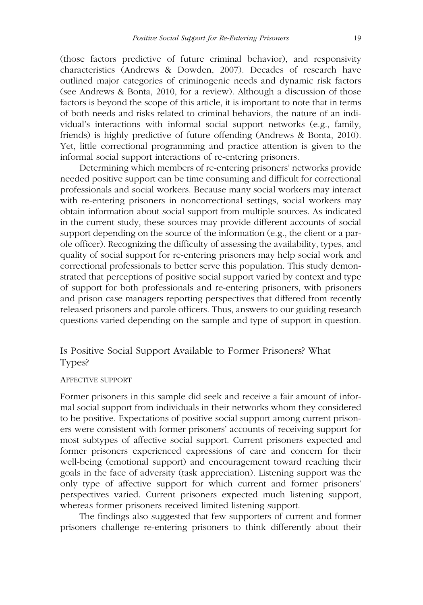(those factors predictive of future criminal behavior), and responsivity characteristics (Andrews & Dowden, 2007). Decades of research have outlined major categories of criminogenic needs and dynamic risk factors (see Andrews & Bonta, 2010, for a review). Although a discussion of those factors is beyond the scope of this article, it is important to note that in terms of both needs and risks related to criminal behaviors, the nature of an individual's interactions with informal social support networks (e.g., family, friends) is highly predictive of future offending (Andrews & Bonta, 2010). Yet, little correctional programming and practice attention is given to the informal social support interactions of re-entering prisoners.

Determining which members of re-entering prisoners' networks provide needed positive support can be time consuming and difficult for correctional professionals and social workers. Because many social workers may interact with re-entering prisoners in noncorrectional settings, social workers may obtain information about social support from multiple sources. As indicated in the current study, these sources may provide different accounts of social support depending on the source of the information (e.g., the client or a parole officer). Recognizing the difficulty of assessing the availability, types, and quality of social support for re-entering prisoners may help social work and correctional professionals to better serve this population. This study demonstrated that perceptions of positive social support varied by context and type of support for both professionals and re-entering prisoners, with prisoners and prison case managers reporting perspectives that differed from recently released prisoners and parole officers. Thus, answers to our guiding research questions varied depending on the sample and type of support in question.

# Is Positive Social Support Available to Former Prisoners? What Types?

# AFFECTIVE SUPPORT

Former prisoners in this sample did seek and receive a fair amount of informal social support from individuals in their networks whom they considered to be positive. Expectations of positive social support among current prisoners were consistent with former prisoners' accounts of receiving support for most subtypes of affective social support. Current prisoners expected and former prisoners experienced expressions of care and concern for their well-being (emotional support) and encouragement toward reaching their goals in the face of adversity (task appreciation). Listening support was the only type of affective support for which current and former prisoners' perspectives varied. Current prisoners expected much listening support, whereas former prisoners received limited listening support.

The findings also suggested that few supporters of current and former prisoners challenge re-entering prisoners to think differently about their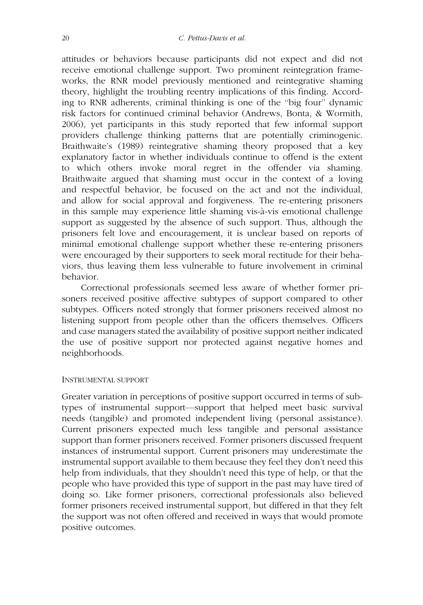attitudes or behaviors because participants did not expect and did not receive emotional challenge support. Two prominent reintegration frameworks, the RNR model previously mentioned and reintegrative shaming theory, highlight the troubling reentry implications of this finding. According to RNR adherents, criminal thinking is one of the ''big four'' dynamic risk factors for continued criminal behavior (Andrews, Bonta, & Wormith, 2006), yet participants in this study reported that few informal support providers challenge thinking patterns that are potentially criminogenic. Braithwaite's (1989) reintegrative shaming theory proposed that a key explanatory factor in whether individuals continue to offend is the extent to which others invoke moral regret in the offender via shaming. Braithwaite argued that shaming must occur in the context of a loving and respectful behavior, be focused on the act and not the individual, and allow for social approval and forgiveness. The re-entering prisoners in this sample may experience little shaming vis-à-vis emotional challenge support as suggested by the absence of such support. Thus, although the prisoners felt love and encouragement, it is unclear based on reports of minimal emotional challenge support whether these re-entering prisoners were encouraged by their supporters to seek moral rectitude for their behaviors, thus leaving them less vulnerable to future involvement in criminal behavior.

Correctional professionals seemed less aware of whether former prisoners received positive affective subtypes of support compared to other subtypes. Officers noted strongly that former prisoners received almost no listening support from people other than the officers themselves. Officers and case managers stated the availability of positive support neither indicated the use of positive support nor protected against negative homes and neighborhoods.

#### INSTRUMENTAL SUPPORT

Greater variation in perceptions of positive support occurred in terms of subtypes of instrumental support—support that helped meet basic survival needs (tangible) and promoted independent living (personal assistance). Current prisoners expected much less tangible and personal assistance support than former prisoners received. Former prisoners discussed frequent instances of instrumental support. Current prisoners may underestimate the instrumental support available to them because they feel they don't need this help from individuals, that they shouldn't need this type of help, or that the people who have provided this type of support in the past may have tired of doing so. Like former prisoners, correctional professionals also believed former prisoners received instrumental support, but differed in that they felt the support was not often offered and received in ways that would promote positive outcomes.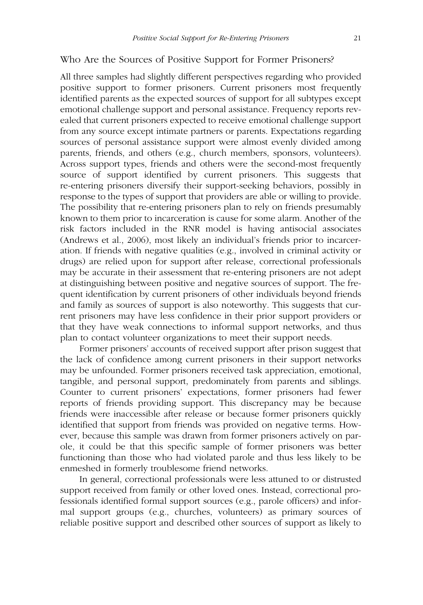# Who Are the Sources of Positive Support for Former Prisoners?

All three samples had slightly different perspectives regarding who provided positive support to former prisoners. Current prisoners most frequently identified parents as the expected sources of support for all subtypes except emotional challenge support and personal assistance. Frequency reports revealed that current prisoners expected to receive emotional challenge support from any source except intimate partners or parents. Expectations regarding sources of personal assistance support were almost evenly divided among parents, friends, and others (e.g., church members, sponsors, volunteers). Across support types, friends and others were the second-most frequently source of support identified by current prisoners. This suggests that re-entering prisoners diversify their support-seeking behaviors, possibly in response to the types of support that providers are able or willing to provide. The possibility that re-entering prisoners plan to rely on friends presumably known to them prior to incarceration is cause for some alarm. Another of the risk factors included in the RNR model is having antisocial associates (Andrews et al., 2006), most likely an individual's friends prior to incarceration. If friends with negative qualities (e.g., involved in criminal activity or drugs) are relied upon for support after release, correctional professionals may be accurate in their assessment that re-entering prisoners are not adept at distinguishing between positive and negative sources of support. The frequent identification by current prisoners of other individuals beyond friends and family as sources of support is also noteworthy. This suggests that current prisoners may have less confidence in their prior support providers or that they have weak connections to informal support networks, and thus plan to contact volunteer organizations to meet their support needs.

Former prisoners' accounts of received support after prison suggest that the lack of confidence among current prisoners in their support networks may be unfounded. Former prisoners received task appreciation, emotional, tangible, and personal support, predominately from parents and siblings. Counter to current prisoners' expectations, former prisoners had fewer reports of friends providing support. This discrepancy may be because friends were inaccessible after release or because former prisoners quickly identified that support from friends was provided on negative terms. However, because this sample was drawn from former prisoners actively on parole, it could be that this specific sample of former prisoners was better functioning than those who had violated parole and thus less likely to be enmeshed in formerly troublesome friend networks.

In general, correctional professionals were less attuned to or distrusted support received from family or other loved ones. Instead, correctional professionals identified formal support sources (e.g., parole officers) and informal support groups (e.g., churches, volunteers) as primary sources of reliable positive support and described other sources of support as likely to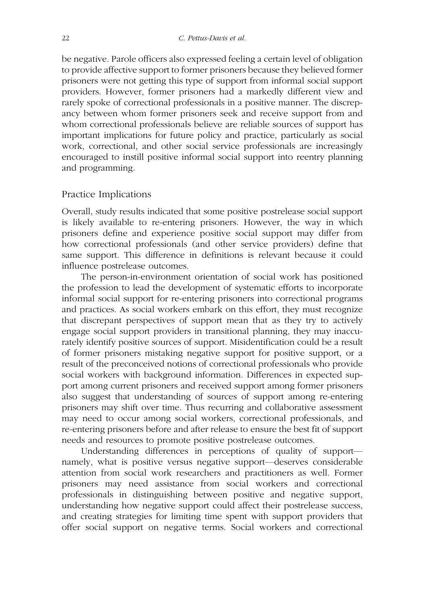be negative. Parole officers also expressed feeling a certain level of obligation to provide affective support to former prisoners because they believed former prisoners were not getting this type of support from informal social support providers. However, former prisoners had a markedly different view and rarely spoke of correctional professionals in a positive manner. The discrepancy between whom former prisoners seek and receive support from and whom correctional professionals believe are reliable sources of support has important implications for future policy and practice, particularly as social work, correctional, and other social service professionals are increasingly encouraged to instill positive informal social support into reentry planning and programming.

# Practice Implications

Overall, study results indicated that some positive postrelease social support is likely available to re-entering prisoners. However, the way in which prisoners define and experience positive social support may differ from how correctional professionals (and other service providers) define that same support. This difference in definitions is relevant because it could influence postrelease outcomes.

The person-in-environment orientation of social work has positioned the profession to lead the development of systematic efforts to incorporate informal social support for re-entering prisoners into correctional programs and practices. As social workers embark on this effort, they must recognize that discrepant perspectives of support mean that as they try to actively engage social support providers in transitional planning, they may inaccurately identify positive sources of support. Misidentification could be a result of former prisoners mistaking negative support for positive support, or a result of the preconceived notions of correctional professionals who provide social workers with background information. Differences in expected support among current prisoners and received support among former prisoners also suggest that understanding of sources of support among re-entering prisoners may shift over time. Thus recurring and collaborative assessment may need to occur among social workers, correctional professionals, and re-entering prisoners before and after release to ensure the best fit of support needs and resources to promote positive postrelease outcomes.

Understanding differences in perceptions of quality of support namely, what is positive versus negative support—deserves considerable attention from social work researchers and practitioners as well. Former prisoners may need assistance from social workers and correctional professionals in distinguishing between positive and negative support, understanding how negative support could affect their postrelease success, and creating strategies for limiting time spent with support providers that offer social support on negative terms. Social workers and correctional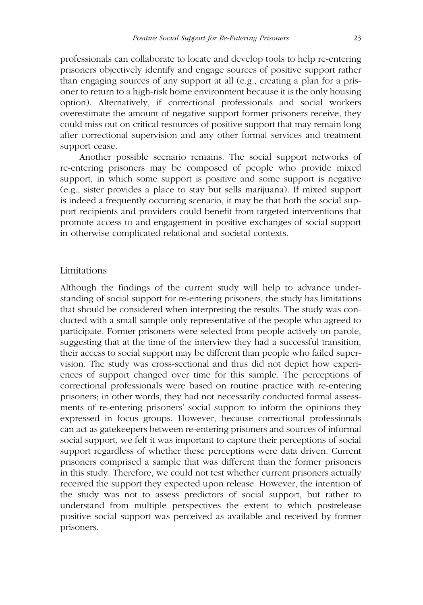professionals can collaborate to locate and develop tools to help re-entering prisoners objectively identify and engage sources of positive support rather than engaging sources of any support at all (e.g., creating a plan for a prisoner to return to a high-risk home environment because it is the only housing option). Alternatively, if correctional professionals and social workers overestimate the amount of negative support former prisoners receive, they could miss out on critical resources of positive support that may remain long after correctional supervision and any other formal services and treatment support cease.

Another possible scenario remains. The social support networks of re-entering prisoners may be composed of people who provide mixed support, in which some support is positive and some support is negative (e.g., sister provides a place to stay but sells marijuana). If mixed support is indeed a frequently occurring scenario, it may be that both the social support recipients and providers could benefit from targeted interventions that promote access to and engagement in positive exchanges of social support in otherwise complicated relational and societal contexts.

#### Limitations

Although the findings of the current study will help to advance understanding of social support for re-entering prisoners, the study has limitations that should be considered when interpreting the results. The study was conducted with a small sample only representative of the people who agreed to participate. Former prisoners were selected from people actively on parole, suggesting that at the time of the interview they had a successful transition; their access to social support may be different than people who failed supervision. The study was cross-sectional and thus did not depict how experiences of support changed over time for this sample. The perceptions of correctional professionals were based on routine practice with re-entering prisoners; in other words, they had not necessarily conducted formal assessments of re-entering prisoners' social support to inform the opinions they expressed in focus groups. However, because correctional professionals can act as gatekeepers between re-entering prisoners and sources of informal social support, we felt it was important to capture their perceptions of social support regardless of whether these perceptions were data driven. Current prisoners comprised a sample that was different than the former prisoners in this study. Therefore, we could not test whether current prisoners actually received the support they expected upon release. However, the intention of the study was not to assess predictors of social support, but rather to understand from multiple perspectives the extent to which postrelease positive social support was perceived as available and received by former prisoners.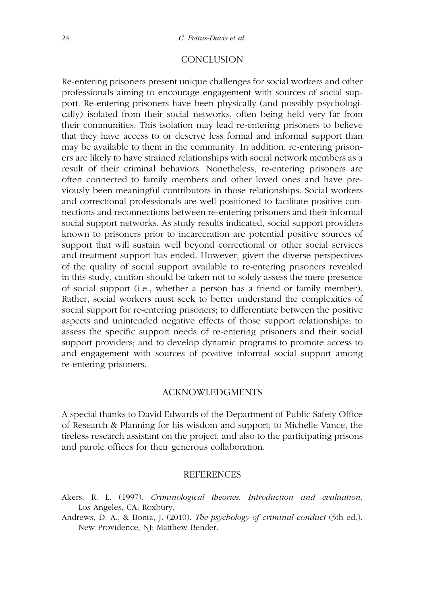# **CONCLUSION**

Re-entering prisoners present unique challenges for social workers and other professionals aiming to encourage engagement with sources of social support. Re-entering prisoners have been physically (and possibly psychologically) isolated from their social networks, often being held very far from their communities. This isolation may lead re-entering prisoners to believe that they have access to or deserve less formal and informal support than may be available to them in the community. In addition, re-entering prisoners are likely to have strained relationships with social network members as a result of their criminal behaviors. Nonetheless, re-entering prisoners are often connected to family members and other loved ones and have previously been meaningful contributors in those relationships. Social workers and correctional professionals are well positioned to facilitate positive connections and reconnections between re-entering prisoners and their informal social support networks. As study results indicated, social support providers known to prisoners prior to incarceration are potential positive sources of support that will sustain well beyond correctional or other social services and treatment support has ended. However, given the diverse perspectives of the quality of social support available to re-entering prisoners revealed in this study, caution should be taken not to solely assess the mere presence of social support (i.e., whether a person has a friend or family member). Rather, social workers must seek to better understand the complexities of social support for re-entering prisoners; to differentiate between the positive aspects and unintended negative effects of those support relationships; to assess the specific support needs of re-entering prisoners and their social support providers; and to develop dynamic programs to promote access to and engagement with sources of positive informal social support among re-entering prisoners.

## ACKNOWLEDGMENTS

A special thanks to David Edwards of the Department of Public Safety Office of Research & Planning for his wisdom and support; to Michelle Vance, the tireless research assistant on the project; and also to the participating prisons and parole offices for their generous collaboration.

#### **REFERENCES**

- Akers, R. L. (1997). Criminological theories: Introduction and evaluation. Los Angeles, CA: Roxbury.
- Andrews, D. A., & Bonta, J. (2010). The psychology of criminal conduct (5th ed.). New Providence, NJ: Matthew Bender.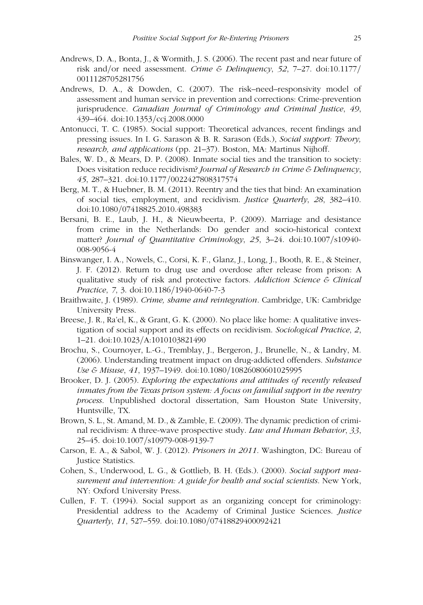- Andrews, D. A., Bonta, J., & Wormith, J. S. (2006). The recent past and near future of risk and/or need assessment. Crime & Delinquency, 52, 7–27. doi:10.1177/ 0011128705281756
- Andrews, D. A., & Dowden, C. (2007). The risk–need–responsivity model of assessment and human service in prevention and corrections: Crime-prevention jurisprudence. Canadian Journal of Criminology and Criminal Justice, 49, 439–464. doi:10.1353/ccj.2008.0000
- Antonucci, T. C. (1985). Social support: Theoretical advances, recent findings and pressing issues. In I. G. Sarason & B. R. Sarason (Eds.), Social support: Theory, research, and applications (pp. 21-37). Boston, MA: Martinus Nijhoff.
- Bales, W. D., & Mears, D. P. (2008). Inmate social ties and the transition to society: Does visitation reduce recidivism? Journal of Research in Crime & Delinquency, 45, 287-321. doi:10.1177/0022427808317574
- Berg, M. T., & Huebner, B. M. (2011). Reentry and the ties that bind: An examination of social ties, employment, and recidivism. Justice Quarterly, 28, 382–410. doi:10.1080/07418825.2010.498383
- Bersani, B. E., Laub, J. H., & Nieuwbeerta, P. (2009). Marriage and desistance from crime in the Netherlands: Do gender and socio-historical context matter? Journal of Quantitative Criminology,  $25$ ,  $3-24$ . doi:10.1007/s10940-008-9056-4
- Binswanger, I. A., Nowels, C., Corsi, K. F., Glanz, J., Long, J., Booth, R. E., & Steiner, J. F. (2012). Return to drug use and overdose after release from prison: A qualitative study of risk and protective factors. Addiction Science  $\mathcal E$  Clinical Practice, 7, 3. doi:10.1186/1940-0640-7-3
- Braithwaite, J. (1989). Crime, shame and reintegration. Cambridge, UK: Cambridge University Press.
- Breese, J. R., Ra'el, K., & Grant, G. K. (2000). No place like home: A qualitative investigation of social support and its effects on recidivism. Sociological Practice, 2, 1-21. doi:10.1023/A:1010103821490
- Brochu, S., Cournoyer, L.-G., Tremblay, J., Bergeron, J., Brunelle, N., & Landry, M. (2006). Understanding treatment impact on drug-addicted offenders. Substance Use & Misuse, 41, 1937-1949. doi:10.1080/10826080601025995
- Brooker, D. J. (2005). Exploring the expectations and attitudes of recently released inmates from the Texas prison system: A focus on familial support in the reentry process. Unpublished doctoral dissertation, Sam Houston State University, Huntsville, TX.
- Brown, S. L., St. Amand, M. D., & Zamble, E. (2009). The dynamic prediction of criminal recidivism: A three-wave prospective study. Law and Human Behavior, 33, 25–45. doi:10.1007/s10979-008-9139-7
- Carson, E. A., & Sabol, W. J. (2012). Prisoners in 2011. Washington, DC: Bureau of Justice Statistics.
- Cohen, S., Underwood, L. G., & Gottlieb, B. H. (Eds.). (2000). Social support measurement and intervention: A guide for health and social scientists. New York, NY: Oxford University Press.
- Cullen, F. T. (1994). Social support as an organizing concept for criminology: Presidential address to the Academy of Criminal Justice Sciences. Justice Quarterly, 11, 527-559. doi:10.1080/07418829400092421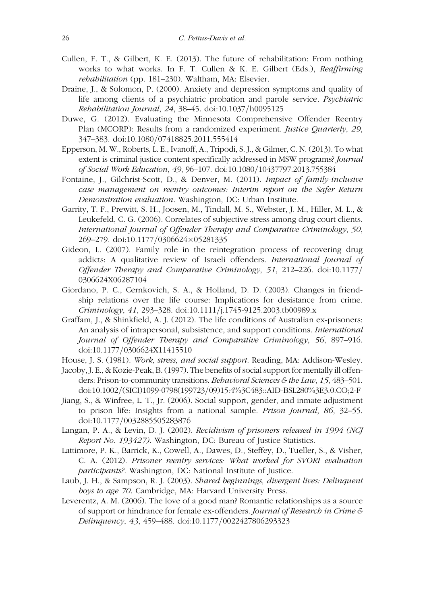- Cullen, F. T., & Gilbert, K. E. (2013). The future of rehabilitation: From nothing works to what works. In F. T. Cullen & K. E. Gilbert (Eds.), Reaffirming rehabilitation (pp. 181–230). Waltham, MA: Elsevier.
- Draine, J., & Solomon, P. (2000). Anxiety and depression symptoms and quality of life among clients of a psychiatric probation and parole service. Psychiatric Rehabilitation Journal, 24, 38-45. doi:10.1037/h0095125
- Duwe, G. (2012). Evaluating the Minnesota Comprehensive Offender Reentry Plan (MCORP): Results from a randomized experiment. *Justice Quarterly*, 29, 347-383. doi:10.1080/07418825.2011.555414
- Epperson, M. W., Roberts, L. E., Ivanoff, A., Tripodi, S. J., & Gilmer, C. N. (2013). To what extent is criminal justice content specifically addressed in MSW programs? Journal of Social Work Education, 49, 96-107. doi:10.1080/10437797.2013.755384
- Fontaine, J., Gilchrist-Scott, D., & Denver, M. (2011). Impact of family-inclusive case management on reentry outcomes: Interim report on the Safer Return Demonstration evaluation. Washington, DC: Urban Institute.
- Garrity, T. F., Prewitt, S. H., Joosen, M., Tindall, M. S., Webster, J. M., Hiller, M. L., & Leukefeld, C. G. (2006). Correlates of subjective stress among drug court clients. International Journal of Offender Therapy and Comparative Criminology, 50, 269–279. doi:10.1177/0306624×05281335
- Gideon, L. (2007). Family role in the reintegration process of recovering drug addicts: A qualitative review of Israeli offenders. International Journal of Offender Therapy and Comparative Criminology, 51, 212-226. doi:10.1177/ 0306624X06287104
- Giordano, P. C., Cernkovich, S. A., & Holland, D. D. (2003). Changes in friendship relations over the life course: Implications for desistance from crime. Criminology, 41, 293-328. doi:10.1111/j.1745-9125.2003.tb00989.x
- Graffam, J., & Shinkfield, A. J. (2012). The life conditions of Australian ex-prisoners: An analysis of intrapersonal, subsistence, and support conditions. International Journal of Offender Therapy and Comparative Criminology, 56, 897–916. doi:10.1177/0306624X11415510
- House, J. S. (1981). Work, stress, and social support. Reading, MA: Addison-Wesley.
- Jacoby, J. E., & Kozie-Peak, B. (1997). The benefits of social support for mentally ill offenders: Prison-to-community transitions. Behavioral Sciences & the Law, 15, 483-501. doi:10.1002/(SICI)1099-0798(199723/09)15:4%3C483::AID-BSL280%3E3.0.CO;2-F
- Jiang, S., & Winfree, L. T., Jr. (2006). Social support, gender, and inmate adjustment to prison life: Insights from a national sample. Prison Journal, 86, 32–55. doi:10.1177/0032885505283876
- Langan, P. A., & Levin, D. J. (2002). Recidivism of prisoners released in 1994 (NCJ Report No. 193427). Washington, DC: Bureau of Justice Statistics.
- Lattimore, P. K., Barrick, K., Cowell, A., Dawes, D., Steffey, D., Tueller, S., & Visher, C. A. (2012). Prisoner reentry services: What worked for SVORI evaluation participants?. Washington, DC: National Institute of Justice.
- Laub, J. H., & Sampson, R. J. (2003). Shared beginnings, divergent lives: Delinquent boys to age 70. Cambridge, MA: Harvard University Press.
- Leverentz, A. M. (2006). The love of a good man? Romantic relationships as a source of support or hindrance for female ex-offenders. Journal of Research in Crime & Delinquency, 43, 459-488. doi:10.1177/0022427806293323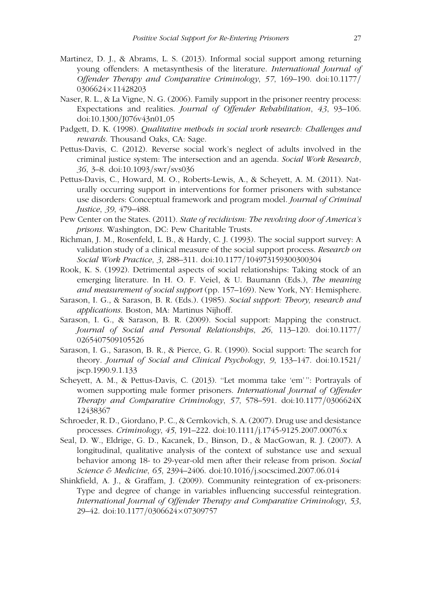- Martinez, D. J., & Abrams, L. S. (2013). Informal social support among returning young offenders: A metasynthesis of the literature. International Journal of Offender Therapy and Comparative Criminology, 57, 169–190. doi:10.1177/ 0306624×11428203
- Naser, R. L., & La Vigne, N. G. (2006). Family support in the prisoner reentry process: Expectations and realities. Journal of Offender Rehabilitation, 43, 93–106. doi:10.1300/J076v43n01\_05
- Padgett, D. K. (1998). Qualitative methods in social work research: Challenges and rewards. Thousand Oaks, CA: Sage.
- Pettus-Davis, C. (2012). Reverse social work's neglect of adults involved in the criminal justice system: The intersection and an agenda. Social Work Research, 36, 3–8. doi:10.1093/swr/svs036
- Pettus-Davis, C., Howard, M. O., Roberts-Lewis, A., & Scheyett, A. M. (2011). Naturally occurring support in interventions for former prisoners with substance use disorders: Conceptual framework and program model. Journal of Criminal Justice, 39, 479–488.
- Pew Center on the States. (2011). State of recidivism: The revolving door of America's prisons. Washington, DC: Pew Charitable Trusts.
- Richman, J. M., Rosenfeld, L. B., & Hardy, C. J. (1993). The social support survey: A validation study of a clinical measure of the social support process. Research on Social Work Practice, 3, 288-311. doi:10.1177/104973159300300304
- Rook, K. S. (1992). Detrimental aspects of social relationships: Taking stock of an emerging literature. In H. O. F. Veiel, & U. Baumann (Eds.), The meaning and measurement of social support (pp. 157–169). New York, NY: Hemisphere.
- Sarason, I. G., & Sarason, B. R. (Eds.). (1985). Social support: Theory, research and applications. Boston, MA: Martinus Nijhoff.
- Sarason, I. G., & Sarason, B. R. (2009). Social support: Mapping the construct. Journal of Social and Personal Relationships, 26, 113-120. doi:10.1177/ 0265407509105526
- Sarason, I. G., Sarason, B. R., & Pierce, G. R. (1990). Social support: The search for theory. Journal of Social and Clinical Psychology, 9, 133-147. doi:10.1521/ jscp.1990.9.1.133
- Scheyett, A. M., & Pettus-Davis, C. (2013). ''Let momma take 'em' '': Portrayals of women supporting male former prisoners. International Journal of Offender Therapy and Comparative Criminology, 57, 578–591. doi:10.1177/0306624X 12438367
- Schroeder, R. D., Giordano, P. C., & Cernkovich, S. A. (2007). Drug use and desistance processes. Criminology, 45, 191–222. doi:10.1111/j.1745-9125.2007.00076.x
- Seal, D. W., Eldrige, G. D., Kacanek, D., Binson, D., & MacGowan, R. J. (2007). A longitudinal, qualitative analysis of the context of substance use and sexual behavior among 18- to 29-year-old men after their release from prison. Social Science & Medicine, 65, 2394-2406. doi:10.1016/j.socscimed.2007.06.014
- Shinkfield, A. J., & Graffam, J. (2009). Community reintegration of ex-prisoners: Type and degree of change in variables influencing successful reintegration. International Journal of Offender Therapy and Comparative Criminology, 53, 29–42. doi:10.1177/0306624×07309757